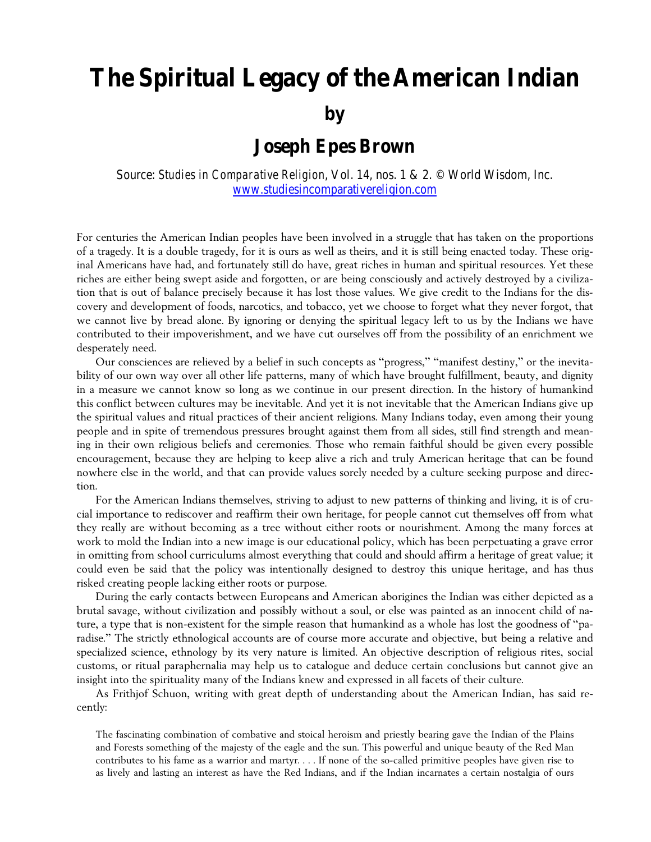## **The Spiritual Legacy of the American Indian**

**by**

## **Joseph Epes Brown**

Source: *Studies in Comparative Religion*, Vol. 14, nos. 1 & 2. © World Wisdom, Inc. [www.studiesincomparativereligion.com](http://www.studiesincomparativereligion.com/)

For centuries the American Indian peoples have been involved in a struggle that has taken on the proportions of a tragedy. It is a double tragedy, for it is ours as well as theirs, and it is still being enacted today. These original Americans have had, and fortunately still do have, great riches in human and spiritual resources. Yet these riches are either being swept aside and forgotten, or are being consciously and actively destroyed by a civilization that is out of balance precisely because it has lost those values. We give credit to the Indians for the discovery and development of foods, narcotics, and tobacco, yet we choose to forget what they never forgot, that we cannot live by bread alone. By ignoring or denying the spiritual legacy left to us by the Indians we have contributed to their impoverishment, and we have cut ourselves off from the possibility of an enrichment we desperately need.

Our consciences are relieved by a belief in such concepts as "progress," "manifest destiny," or the inevitability of our own way over all other life patterns, many of which have brought fulfillment, beauty, and dignity in a measure we cannot know so long as we continue in our present direction. In the history of humankind this conflict between cultures may be inevitable. And yet it is not inevitable that the American Indians give up the spiritual values and ritual practices of their ancient religions. Many Indians today, even among their young people and in spite of tremendous pressures brought against them from all sides, still find strength and meaning in their own religious beliefs and ceremonies. Those who remain faithful should be given every possible encouragement, because they are helping to keep alive a rich and truly American heritage that can be found nowhere else in the world, and that can provide values sorely needed by a culture seeking purpose and direction.

For the American Indians themselves, striving to adjust to new patterns of thinking and living, it is of crucial importance to rediscover and reaffirm their own heritage, for people cannot cut themselves off from what they really are without becoming as a tree without either roots or nourishment. Among the many forces at work to mold the Indian into a new image is our educational policy, which has been perpetuating a grave error in omitting from school curriculums almost everything that could and should affirm a heritage of great value; it could even be said that the policy was intentionally designed to destroy this unique heritage, and has thus risked creating people lacking either roots or purpose.

During the early contacts between Europeans and American aborigines the Indian was either depicted as a brutal savage, without civilization and possibly without a soul, or else was painted as an innocent child of nature, a type that is non-existent for the simple reason that humankind as a whole has lost the goodness of "paradise." The strictly ethnological accounts are of course more accurate and objective, but being a relative and specialized science, ethnology by its very nature is limited. An objective description of religious rites, social customs, or ritual paraphernalia may help us to catalogue and deduce certain conclusions but cannot give an insight into the spirituality many of the Indians knew and expressed in all facets of their culture.

As Frithjof Schuon, writing with great depth of understanding about the American Indian, has said recently:

The fascinating combination of combative and stoical heroism and priestly bearing gave the Indian of the Plains and Forests something of the majesty of the eagle and the sun. This powerful and unique beauty of the Red Man contributes to his fame as a warrior and martyr. . . . If none of the so-called primitive peoples have given rise to as lively and lasting an interest as have the Red Indians, and if the Indian incarnates a certain nostalgia of ours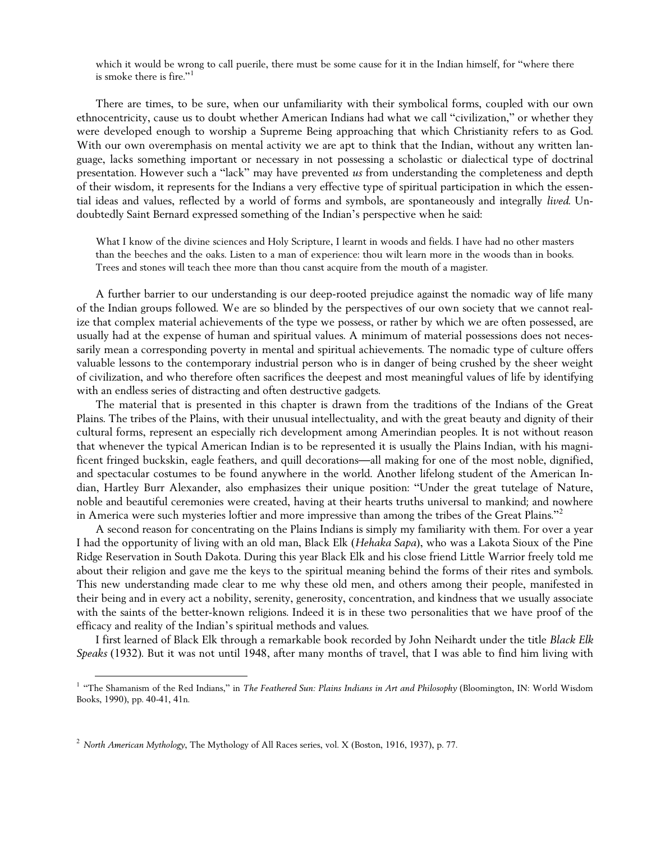which it would be wrong to call puerile, there must be some cause for it in the Indian himself, for "where there is smoke there is fire."<sup>[1](#page-1-0)</sup>

There are times, to be sure, when our unfamiliarity with their symbolical forms, coupled with our own ethnocentricity, cause us to doubt whether American Indians had what we call "civilization," or whether they were developed enough to worship a Supreme Being approaching that which Christianity refers to as God. With our own overemphasis on mental activity we are apt to think that the Indian, without any written language, lacks something important or necessary in not possessing a scholastic or dialectical type of doctrinal presentation. However such a "lack" may have prevented *us* from understanding the completeness and depth of their wisdom, it represents for the Indians a very effective type of spiritual participation in which the essential ideas and values, reflected by a world of forms and symbols, are spontaneously and integrally *lived*. Undoubtedly Saint Bernard expressed something of the Indian's perspective when he said:

What I know of the divine sciences and Holy Scripture, I learnt in woods and fields. I have had no other masters than the beeches and the oaks. Listen to a man of experience: thou wilt learn more in the woods than in books. Trees and stones will teach thee more than thou canst acquire from the mouth of a magister.

A further barrier to our understanding is our deep-rooted prejudice against the nomadic way of life many of the Indian groups followed. We are so blinded by the perspectives of our own society that we cannot realize that complex material achievements of the type we possess, or rather by which we are often possessed, are usually had at the expense of human and spiritual values. A minimum of material possessions does not necessarily mean a corresponding poverty in mental and spiritual achievements. The nomadic type of culture offers valuable lessons to the contemporary industrial person who is in danger of being crushed by the sheer weight of civilization, and who therefore often sacrifices the deepest and most meaningful values of life by identifying with an endless series of distracting and often destructive gadgets.

The material that is presented in this chapter is drawn from the traditions of the Indians of the Great Plains. The tribes of the Plains, with their unusual intellectuality, and with the great beauty and dignity of their cultural forms, represent an especially rich development among Amerindian peoples. It is not without reason that whenever the typical American Indian is to be represented it is usually the Plains Indian, with his magnificent fringed buckskin, eagle feathers, and quill decorations—all making for one of the most noble, dignified, and spectacular costumes to be found anywhere in the world. Another lifelong student of the American Indian, Hartley Burr Alexander, also emphasizes their unique position: "Under the great tutelage of Nature, noble and beautiful ceremonies were created, having at their hearts truths universal to mankind; and nowhere in America were such mysteries loftier and more impressive than among the tribes of the Great Plains."<sup>[2](#page-1-1)</sup>

A second reason for concentrating on the Plains Indians is simply my familiarity with them. For over a year I had the opportunity of living with an old man, Black Elk (*Hehaka Sapa*), who was a Lakota Sioux of the Pine Ridge Reservation in South Dakota. During this year Black Elk and his close friend Little Warrior freely told me about their religion and gave me the keys to the spiritual meaning behind the forms of their rites and symbols. This new understanding made clear to me why these old men, and others among their people, manifested in their being and in every act a nobility, serenity, generosity, concentration, and kindness that we usually associate with the saints of the better-known religions. Indeed it is in these two personalities that we have proof of the efficacy and reality of the Indian's spiritual methods and values.

I first learned of Black Elk through a remarkable book recorded by John Neihardt under the title *Black Elk Speaks* (1932). But it was not until 1948, after many months of travel, that I was able to find him living with

<span id="page-1-0"></span><sup>&</sup>lt;sup>1</sup> "The Shamanism of the Red Indians," in *The Feathered Sun: Plains Indians in Art and Philosophy* (Bloomington, IN: World Wisdom Books, 1990), pp. 40-41, 41n.

<span id="page-1-1"></span><sup>2</sup> *North American Mythology*, The Mythology of All Races series, vol. X (Boston, 1916, 1937), p. 77.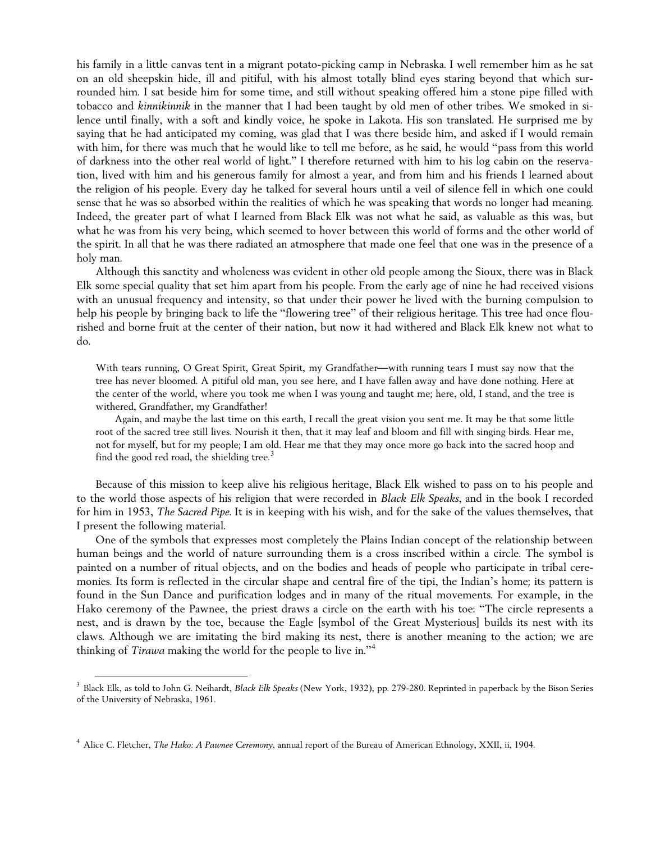his family in a little canvas tent in a migrant potato-picking camp in Nebraska. I well remember him as he sat on an old sheepskin hide, ill and pitiful, with his almost totally blind eyes staring beyond that which surrounded him. I sat beside him for some time, and still without speaking offered him a stone pipe filled with tobacco and *kinnikinnik* in the manner that I had been taught by old men of other tribes. We smoked in silence until finally, with a soft and kindly voice, he spoke in Lakota. His son translated. He surprised me by saying that he had anticipated my coming, was glad that I was there beside him, and asked if I would remain with him, for there was much that he would like to tell me before, as he said, he would "pass from this world of darkness into the other real world of light." I therefore returned with him to his log cabin on the reservation, lived with him and his generous family for almost a year, and from him and his friends I learned about the religion of his people. Every day he talked for several hours until a veil of silence fell in which one could sense that he was so absorbed within the realities of which he was speaking that words no longer had meaning. Indeed, the greater part of what I learned from Black Elk was not what he said, as valuable as this was, but what he was from his very being, which seemed to hover between this world of forms and the other world of the spirit. In all that he was there radiated an atmosphere that made one feel that one was in the presence of a holy man.

Although this sanctity and wholeness was evident in other old people among the Sioux, there was in Black Elk some special quality that set him apart from his people. From the early age of nine he had received visions with an unusual frequency and intensity, so that under their power he lived with the burning compulsion to help his people by bringing back to life the "flowering tree" of their religious heritage. This tree had once flourished and borne fruit at the center of their nation, but now it had withered and Black Elk knew not what to do.

With tears running, O Great Spirit, Great Spirit, my Grandfather—with running tears I must say now that the tree has never bloomed. A pitiful old man, you see here, and I have fallen away and have done nothing. Here at the center of the world, where you took me when I was young and taught me; here, old, I stand, and the tree is withered, Grandfather, my Grandfather!

Again, and maybe the last time on this earth, I recall the great vision you sent me. It may be that some little root of the sacred tree still lives. Nourish it then, that it may leaf and bloom and fill with singing birds. Hear me, not for myself, but for my people; I am old. Hear me that they may once more go back into the sacred hoop and find the good red road, the shielding tree. $3$ 

Because of this mission to keep alive his religious heritage, Black Elk wished to pass on to his people and to the world those aspects of his religion that were recorded in *Black Elk Speaks*, and in the book I recorded for him in 1953, *The Sacred Pipe*. It is in keeping with his wish, and for the sake of the values themselves, that I present the following material.

One of the symbols that expresses most completely the Plains Indian concept of the relationship between human beings and the world of nature surrounding them is a cross inscribed within a circle. The symbol is painted on a number of ritual objects, and on the bodies and heads of people who participate in tribal ceremonies. Its form is reflected in the circular shape and central fire of the tipi, the Indian's home; its pattern is found in the Sun Dance and purification lodges and in many of the ritual movements. For example, in the Hako ceremony of the Pawnee, the priest draws a circle on the earth with his toe: "The circle represents a nest, and is drawn by the toe, because the Eagle [symbol of the Great Mysterious] builds its nest with its claws. Although we are imitating the bird making its nest, there is another meaning to the action; we are thinking of *Tirawa* making the world for the people to live in."[4](#page-3-0)

<sup>3</sup> Black Elk, as told to John G. Neihardt, *Black Elk Speaks* (New York, 1932), pp. 279-280. Reprinted in paperback by the Bison Series of the University of Nebraska, 1961.

<span id="page-2-0"></span><sup>4</sup> Alice C. Fletcher, *The Hako: A Pawnee Ceremony*, annual report of the Bureau of American Ethnology, XXII, ii, 1904.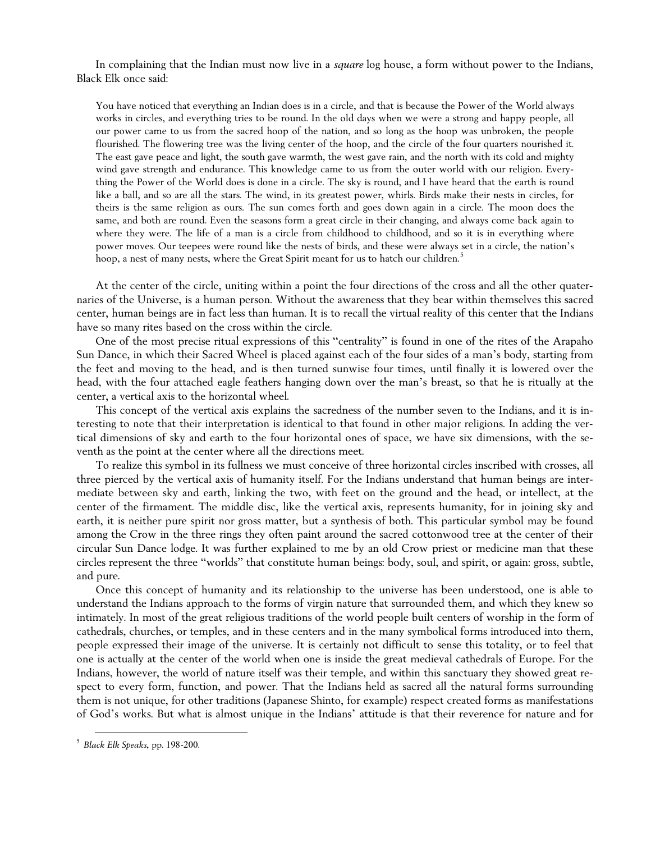In complaining that the Indian must now live in a *square* log house, a form without power to the Indians, Black Elk once said:

You have noticed that everything an Indian does is in a circle, and that is because the Power of the World always works in circles, and everything tries to be round. In the old days when we were a strong and happy people, all our power came to us from the sacred hoop of the nation, and so long as the hoop was unbroken, the people flourished. The flowering tree was the living center of the hoop, and the circle of the four quarters nourished it. The east gave peace and light, the south gave warmth, the west gave rain, and the north with its cold and mighty wind gave strength and endurance. This knowledge came to us from the outer world with our religion. Everything the Power of the World does is done in a circle. The sky is round, and I have heard that the earth is round like a ball, and so are all the stars. The wind, in its greatest power, whirls. Birds make their nests in circles, for theirs is the same religion as ours. The sun comes forth and goes down again in a circle. The moon does the same, and both are round. Even the seasons form a great circle in their changing, and always come back again to where they were. The life of a man is a circle from childhood to childhood, and so it is in everything where power moves. Our teepees were round like the nests of birds, and these were always set in a circle, the nation's hoop, a nest of many nests, where the Great Spirit meant for us to hatch our children.<sup>[5](#page-3-1)</sup>

At the center of the circle, uniting within a point the four directions of the cross and all the other quaternaries of the Universe, is a human person. Without the awareness that they bear within themselves this sacred center, human beings are in fact less than human. It is to recall the virtual reality of this center that the Indians have so many rites based on the cross within the circle.

One of the most precise ritual expressions of this "centrality" is found in one of the rites of the Arapaho Sun Dance, in which their Sacred Wheel is placed against each of the four sides of a man's body, starting from the feet and moving to the head, and is then turned sunwise four times, until finally it is lowered over the head, with the four attached eagle feathers hanging down over the man's breast, so that he is ritually at the center, a vertical axis to the horizontal wheel.

This concept of the vertical axis explains the sacredness of the number seven to the Indians, and it is interesting to note that their interpretation is identical to that found in other major religions. In adding the vertical dimensions of sky and earth to the four horizontal ones of space, we have six dimensions, with the seventh as the point at the center where all the directions meet.

To realize this symbol in its fullness we must conceive of three horizontal circles inscribed with crosses, all three pierced by the vertical axis of humanity itself. For the Indians understand that human beings are intermediate between sky and earth, linking the two, with feet on the ground and the head, or intellect, at the center of the firmament. The middle disc, like the vertical axis, represents humanity, for in joining sky and earth, it is neither pure spirit nor gross matter, but a synthesis of both. This particular symbol may be found among the Crow in the three rings they often paint around the sacred cottonwood tree at the center of their circular Sun Dance lodge. It was further explained to me by an old Crow priest or medicine man that these circles represent the three "worlds" that constitute human beings: body, soul, and spirit, or again: gross, subtle, and pure.

Once this concept of humanity and its relationship to the universe has been understood, one is able to understand the Indians approach to the forms of virgin nature that surrounded them, and which they knew so intimately. In most of the great religious traditions of the world people built centers of worship in the form of cathedrals, churches, or temples, and in these centers and in the many symbolical forms introduced into them, people expressed their image of the universe. It is certainly not difficult to sense this totality, or to feel that one is actually at the center of the world when one is inside the great medieval cathedrals of Europe. For the Indians, however, the world of nature itself was their temple, and within this sanctuary they showed great respect to every form, function, and power. That the Indians held as sacred all the natural forms surrounding them is not unique, for other traditions (Japanese Shinto, for example) respect created forms as manifestations of God's works. But what is almost unique in the Indians' attitude is that their reverence for nature and for

<span id="page-3-1"></span><span id="page-3-0"></span><sup>5</sup> *Black Elk Speaks*, pp. 198-200.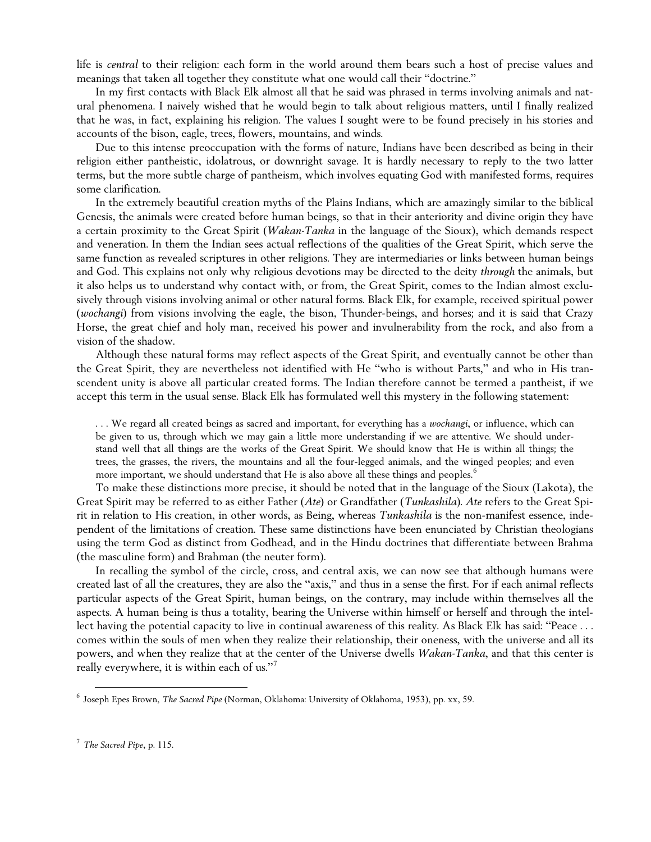life is *central* to their religion: each form in the world around them bears such a host of precise values and meanings that taken all together they constitute what one would call their "doctrine."

In my first contacts with Black Elk almost all that he said was phrased in terms involving animals and natural phenomena. I naively wished that he would begin to talk about religious matters, until I finally realized that he was, in fact, explaining his religion. The values I sought were to be found precisely in his stories and accounts of the bison, eagle, trees, flowers, mountains, and winds.

Due to this intense preoccupation with the forms of nature, Indians have been described as being in their religion either pantheistic, idolatrous, or downright savage. It is hardly necessary to reply to the two latter terms, but the more subtle charge of pantheism, which involves equating God with manifested forms, requires some clarification.

In the extremely beautiful creation myths of the Plains Indians, which are amazingly similar to the biblical Genesis, the animals were created before human beings, so that in their anteriority and divine origin they have a certain proximity to the Great Spirit (*Wakan-Tanka* in the language of the Sioux), which demands respect and veneration. In them the Indian sees actual reflections of the qualities of the Great Spirit, which serve the same function as revealed scriptures in other religions. They are intermediaries or links between human beings and God. This explains not only why religious devotions may be directed to the deity *through* the animals, but it also helps us to understand why contact with, or from, the Great Spirit, comes to the Indian almost exclusively through visions involving animal or other natural forms. Black Elk, for example, received spiritual power (*wochangi*) from visions involving the eagle, the bison, Thunder-beings, and horses; and it is said that Crazy Horse, the great chief and holy man, received his power and invulnerability from the rock, and also from a vision of the shadow.

Although these natural forms may reflect aspects of the Great Spirit, and eventually cannot be other than the Great Spirit, they are nevertheless not identified with He "who is without Parts," and who in His transcendent unity is above all particular created forms. The Indian therefore cannot be termed a pantheist, if we accept this term in the usual sense. Black Elk has formulated well this mystery in the following statement:

. . . We regard all created beings as sacred and important, for everything has a *wochangi*, or influence, which can be given to us, through which we may gain a little more understanding if we are attentive. We should understand well that all things are the works of the Great Spirit. We should know that He is within all things; the trees, the grasses, the rivers, the mountains and all the four-legged animals, and the winged peoples; and even more important, we should understand that He is also above all these things and peoples.<sup>[6](#page-4-0)</sup>

To make these distinctions more precise, it should be noted that in the language of the Sioux (Lakota), the Great Spirit may be referred to as either Father (*Ate*) or Grandfather (*Tunkashila*). *Ate* refers to the Great Spirit in relation to His creation, in other words, as Being, whereas *Tunkashila* is the non-manifest essence, independent of the limitations of creation. These same distinctions have been enunciated by Christian theologians using the term God as distinct from Godhead, and in the Hindu doctrines that differentiate between Brahma (the masculine form) and Brahman (the neuter form).

In recalling the symbol of the circle, cross, and central axis, we can now see that although humans were created last of all the creatures, they are also the "axis," and thus in a sense the first. For if each animal reflects particular aspects of the Great Spirit, human beings, on the contrary, may include within themselves all the aspects. A human being is thus a totality, bearing the Universe within himself or herself and through the intellect having the potential capacity to live in continual awareness of this reality. As Black Elk has said: "Peace ... comes within the souls of men when they realize their relationship, their oneness, with the universe and all its powers, and when they realize that at the center of the Universe dwells *Wakan-Tanka*, and that this center is really everywhere, it is within each of us."<sup>[7](#page-5-0)</sup>

<sup>6</sup> Joseph Epes Brown, *The Sacred Pipe* (Norman, Oklahoma: University of Oklahoma, 1953), pp. xx, 59.

<span id="page-4-0"></span><sup>7</sup> *The Sacred Pipe*, p. 115.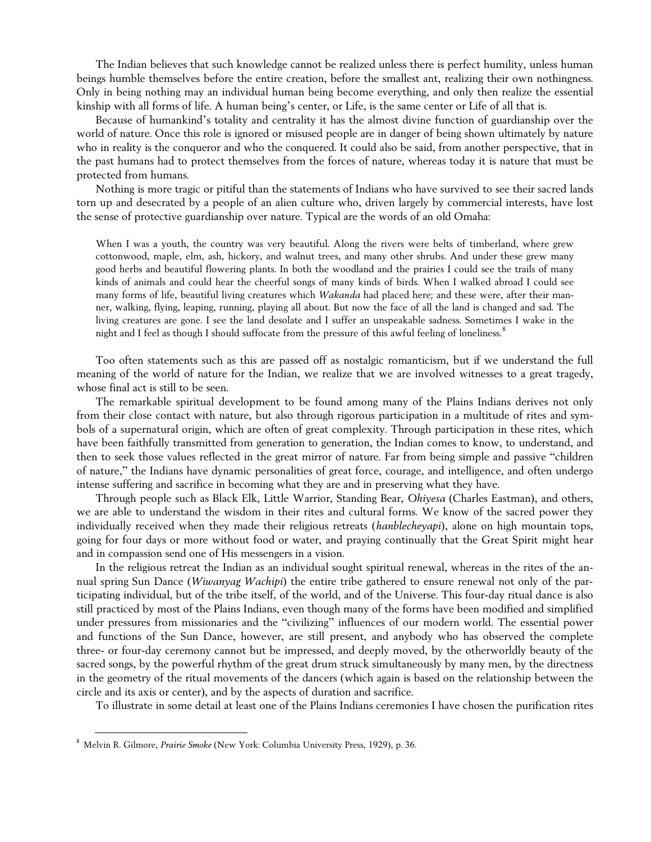The Indian believes that such knowledge cannot be realized unless there is perfect humility, unless human beings humble themselves before the entire creation, before the smallest ant, realizing their own nothingness. Only in being nothing may an individual human being become everything, and only then realize the essential kinship with all forms of life. A human being's center, or Life, is the same center or Life of all that is.

Because of humankind's totality and centrality it has the almost divine function of guardianship over the world of nature. Once this role is ignored or misused people are in danger of being shown ultimately by nature who in reality is the conqueror and who the conquered. It could also be said, from another perspective, that in the past humans had to protect themselves from the forces of nature, whereas today it is nature that must be protected from humans.

Nothing is more tragic or pitiful than the statements of Indians who have survived to see their sacred lands torn up and desecrated by a people of an alien culture who, driven largely by commercial interests, have lost the sense of protective guardianship over nature. Typical are the words of an old Omaha:

When I was a youth, the country was very beautiful. Along the rivers were belts of timberland, where grew cottonwood, maple, elm, ash, hickory, and walnut trees, and many other shrubs. And under these grew many good herbs and beautiful flowering plants. In both the woodland and the prairies I could see the trails of many kinds of animals and could hear the cheerful songs of many kinds of birds. When I walked abroad I could see many forms of life, beautiful living creatures which *Wakanda* had placed here; and these were, after their manner, walking, flying, leaping, running, playing all about. But now the face of all the land is changed and sad. The living creatures are gone. I see the land desolate and I suffer an unspeakable sadness. Sometimes I wake in the night and I feel as though I should suffocate from the pressure of this awful feeling of loneliness.<sup>[8](#page-5-1)</sup>

Too often statements such as this are passed off as nostalgic romanticism, but if we understand the full meaning of the world of nature for the Indian, we realize that we are involved witnesses to a great tragedy, whose final act is still to be seen.

The remarkable spiritual development to be found among many of the Plains Indians derives not only from their close contact with nature, but also through rigorous participation in a multitude of rites and symbols of a supernatural origin, which are often of great complexity. Through participation in these rites, which have been faithfully transmitted from generation to generation, the Indian comes to know, to understand, and then to seek those values reflected in the great mirror of nature. Far from being simple and passive "children of nature," the Indians have dynamic personalities of great force, courage, and intelligence, and often undergo intense suffering and sacrifice in becoming what they are and in preserving what they have.

Through people such as Black Elk, Little Warrior, Standing Bear, *Ohiyesa* (Charles Eastman), and others, we are able to understand the wisdom in their rites and cultural forms. We know of the sacred power they individually received when they made their religious retreats (*hanblecheyapi*), alone on high mountain tops, going for four days or more without food or water, and praying continually that the Great Spirit might hear and in compassion send one of His messengers in a vision.

In the religious retreat the Indian as an individual sought spiritual renewal, whereas in the rites of the annual spring Sun Dance (*Wiwanyag Wachipi*) the entire tribe gathered to ensure renewal not only of the participating individual, but of the tribe itself, of the world, and of the Universe. This four-day ritual dance is also still practiced by most of the Plains Indians, even though many of the forms have been modified and simplified under pressures from missionaries and the "civilizing" influences of our modern world. The essential power and functions of the Sun Dance, however, are still present, and anybody who has observed the complete three- or four-day ceremony cannot but be impressed, and deeply moved, by the otherworldly beauty of the sacred songs, by the powerful rhythm of the great drum struck simultaneously by many men, by the directness in the geometry of the ritual movements of the dancers (which again is based on the relationship between the circle and its axis or center), and by the aspects of duration and sacrifice.

To illustrate in some detail at least one of the Plains Indians ceremonies I have chosen the purification rites

<span id="page-5-1"></span><span id="page-5-0"></span><sup>8</sup> Melvin R. Gilmore, *Prairie Smoke* (New York: Columbia University Press, 1929), p. 36.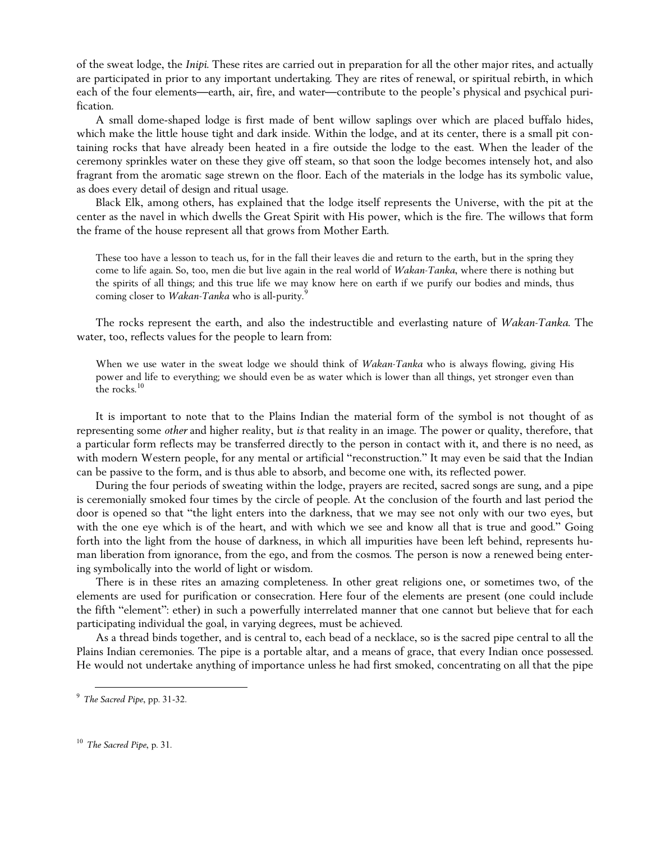of the sweat lodge, the *Inipi*. These rites are carried out in preparation for all the other major rites, and actually are participated in prior to any important undertaking. They are rites of renewal, or spiritual rebirth, in which each of the four elements—earth, air, fire, and water—contribute to the people's physical and psychical purification.

A small dome-shaped lodge is first made of bent willow saplings over which are placed buffalo hides, which make the little house tight and dark inside. Within the lodge, and at its center, there is a small pit containing rocks that have already been heated in a fire outside the lodge to the east. When the leader of the ceremony sprinkles water on these they give off steam, so that soon the lodge becomes intensely hot, and also fragrant from the aromatic sage strewn on the floor. Each of the materials in the lodge has its symbolic value, as does every detail of design and ritual usage.

Black Elk, among others, has explained that the lodge itself represents the Universe, with the pit at the center as the navel in which dwells the Great Spirit with His power, which is the fire. The willows that form the frame of the house represent all that grows from Mother Earth.

These too have a lesson to teach us, for in the fall their leaves die and return to the earth, but in the spring they come to life again. So, too, men die but live again in the real world of *Wakan-Tanka*, where there is nothing but the spirits of all things; and this true life we may know here on earth if we purify our bodies and minds, thus coming closer to *Wakan-Tanka* who is all-purity.[9](#page-6-0)

The rocks represent the earth, and also the indestructible and everlasting nature of *Wakan-Tanka*. The water, too, reflects values for the people to learn from:

When we use water in the sweat lodge we should think of *Wakan-Tanka* who is always flowing, giving His power and life to everything; we should even be as water which is lower than all things, yet stronger even than the rocks.<sup>[10](#page-6-1)</sup>

It is important to note that to the Plains Indian the material form of the symbol is not thought of as representing some *other* and higher reality, but *is* that reality in an image. The power or quality, therefore, that a particular form reflects may be transferred directly to the person in contact with it, and there is no need, as with modern Western people, for any mental or artificial "reconstruction." It may even be said that the Indian can be passive to the form, and is thus able to absorb, and become one with, its reflected power.

During the four periods of sweating within the lodge, prayers are recited, sacred songs are sung, and a pipe is ceremonially smoked four times by the circle of people. At the conclusion of the fourth and last period the door is opened so that "the light enters into the darkness, that we may see not only with our two eyes, but with the one eye which is of the heart, and with which we see and know all that is true and good." Going forth into the light from the house of darkness, in which all impurities have been left behind, represents human liberation from ignorance, from the ego, and from the cosmos. The person is now a renewed being entering symbolically into the world of light or wisdom.

There is in these rites an amazing completeness. In other great religions one, or sometimes two, of the elements are used for purification or consecration. Here four of the elements are present (one could include the fifth "element": ether) in such a powerfully interrelated manner that one cannot but believe that for each participating individual the goal, in varying degrees, must be achieved.

As a thread binds together, and is central to, each bead of a necklace, so is the sacred pipe central to all the Plains Indian ceremonies. The pipe is a portable altar, and a means of grace, that every Indian once possessed. He would not undertake anything of importance unless he had first smoked, concentrating on all that the pipe

<span id="page-6-0"></span><sup>9</sup> *The Sacred Pipe*, pp. 31-32.

<span id="page-6-1"></span><sup>10</sup> *The Sacred Pipe*, p. 31.